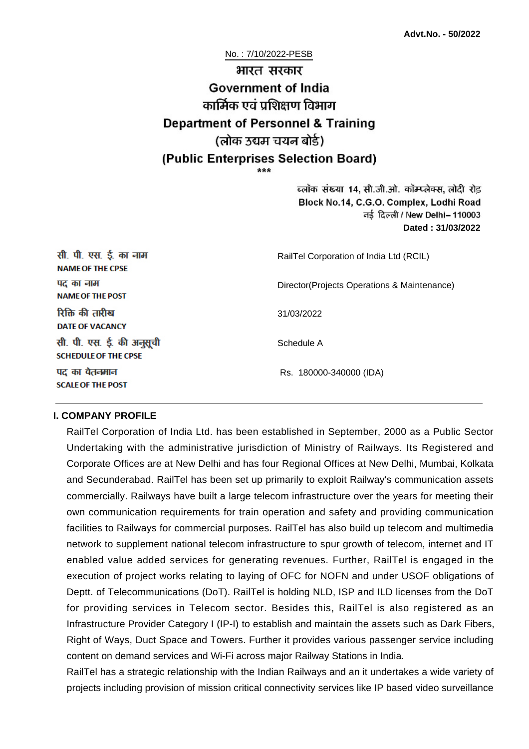# No. : 7/10/2022-PESB भारत सरकार **Government of India** कार्मिक एवं पशिक्षण विभाग **Department of Personnel & Training** (लोक उद्यम चयन बोर्ड) (Public Enterprises Selection Board)

ब्लॉक संख्या 14, सी.जी.ओ. कॉम्प्लेक्स, लोदी रोड Block No.14, C.G.O. Complex, Lodhi Road ਰई दिल्ली / New Delhi– 110003 **Dated : 31/03/2022**

| सी. पी. एस. ई. का नाम<br><b>NAME OF THE CPSE</b>         | RailTel Corporation of India Ltd (RCIL)      |
|----------------------------------------------------------|----------------------------------------------|
| पद का नाम<br><b>NAME OF THE POST</b>                     | Director (Projects Operations & Maintenance) |
| रिक्ति की तारीख<br><b>DATE OF VACANCY</b>                | 31/03/2022                                   |
| सी. पी. एस. ई. की अनुसूची<br><b>SCHEDULE OF THE CPSE</b> | Schedule A                                   |
| पद का वैतनमान<br><b>SCALE OF THE POST</b>                | Rs. 180000-340000 (IDA)                      |

#### **I. COMPANY PROFILE**

RailTel Corporation of India Ltd. has been established in September, 2000 as a Public Sector Undertaking with the administrative jurisdiction of Ministry of Railways. Its Registered and Corporate Offices are at New Delhi and has four Regional Offices at New Delhi, Mumbai, Kolkata and Secunderabad. RailTel has been set up primarily to exploit Railway's communication assets commercially. Railways have built a large telecom infrastructure over the years for meeting their own communication requirements for train operation and safety and providing communication facilities to Railways for commercial purposes. RailTel has also build up telecom and multimedia network to supplement national telecom infrastructure to spur growth of telecom, internet and IT enabled value added services for generating revenues. Further, RailTel is engaged in the execution of project works relating to laying of OFC for NOFN and under USOF obligations of Deptt. of Telecommunications (DoT). RailTel is holding NLD, ISP and ILD licenses from the DoT for providing services in Telecom sector. Besides this, RailTel is also registered as an Infrastructure Provider Category I (IP-I) to establish and maintain the assets such as Dark Fibers, Right of Ways, Duct Space and Towers. Further it provides various passenger service including content on demand services and Wi-Fi across major Railway Stations in India.

RailTel has a strategic relationship with the Indian Railways and an it undertakes a wide variety of projects including provision of mission critical connectivity services like IP based video surveillance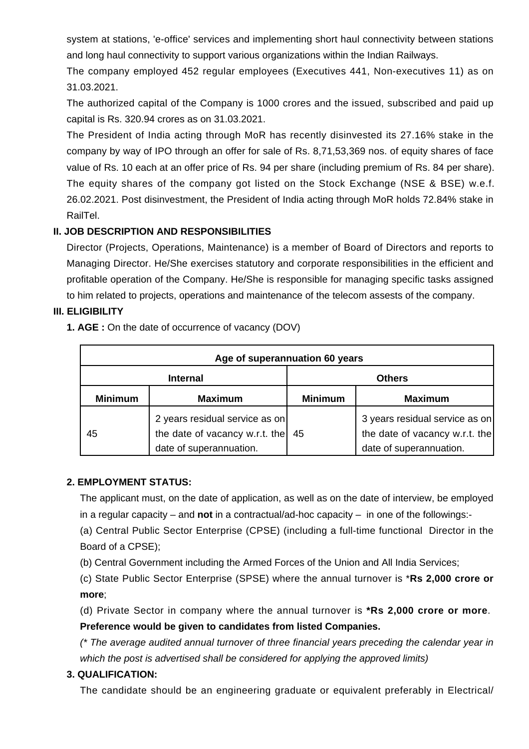system at stations, 'e-office' services and implementing short haul connectivity between stations and long haul connectivity to support various organizations within the Indian Railways.

The company employed 452 regular employees (Executives 441, Non-executives 11) as on 31.03.2021.

The authorized capital of the Company is 1000 crores and the issued, subscribed and paid up capital is Rs. 320.94 crores as on 31.03.2021.

The President of India acting through MoR has recently disinvested its 27.16% stake in the company by way of IPO through an offer for sale of Rs. 8,71,53,369 nos. of equity shares of face value of Rs. 10 each at an offer price of Rs. 94 per share (including premium of Rs. 84 per share). The equity shares of the company got listed on the Stock Exchange (NSE & BSE) w.e.f. 26.02.2021. Post disinvestment, the President of India acting through MoR holds 72.84% stake in RailTel.

## **II. JOB DESCRIPTION AND RESPONSIBILITIES**

Director (Projects, Operations, Maintenance) is a member of Board of Directors and reports to Managing Director. He/She exercises statutory and corporate responsibilities in the efficient and profitable operation of the Company. He/She is responsible for managing specific tasks assigned to him related to projects, operations and maintenance of the telecom assests of the company.

## **III. ELIGIBILITY**

**1. AGE :** On the date of occurrence of vacancy (DOV)

| Age of superannuation 60 years |                                                                                             |                |                                                                                             |  |
|--------------------------------|---------------------------------------------------------------------------------------------|----------------|---------------------------------------------------------------------------------------------|--|
| <b>Internal</b>                |                                                                                             | <b>Others</b>  |                                                                                             |  |
| <b>Minimum</b>                 | <b>Maximum</b>                                                                              | <b>Minimum</b> | <b>Maximum</b>                                                                              |  |
| 45                             | 2 years residual service as on<br>the date of vacancy w.r.t. the<br>date of superannuation. | 45             | 3 years residual service as on<br>the date of vacancy w.r.t. the<br>date of superannuation. |  |

## **2. EMPLOYMENT STATUS:**

The applicant must, on the date of application, as well as on the date of interview, be employed in a regular capacity – and **not** in a contractual/ad-hoc capacity – in one of the followings:-

(a) Central Public Sector Enterprise (CPSE) (including a full-time functional Director in the Board of a CPSE);

(b) Central Government including the Armed Forces of the Union and All India Services;

(c) State Public Sector Enterprise (SPSE) where the annual turnover is \***Rs 2,000 crore or more**;

(d) Private Sector in company where the annual turnover is **\*Rs 2,000 crore or more**. **Preference would be given to candidates from listed Companies.**

(\* The average audited annual turnover of three financial years preceding the calendar year in which the post is advertised shall be considered for applying the approved limits)

## **3. QUALIFICATION:**

The candidate should be an engineering graduate or equivalent preferably in Electrical/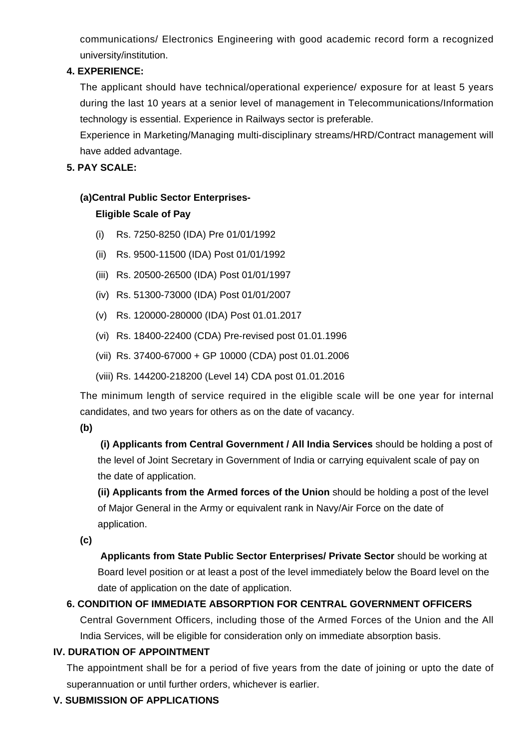communications/ Electronics Engineering with good academic record form a recognized university/institution.

## **4. EXPERIENCE:**

The applicant should have technical/operational experience/ exposure for at least 5 years during the last 10 years at a senior level of management in Telecommunications/Information technology is essential. Experience in Railways sector is preferable.

Experience in Marketing/Managing multi-disciplinary streams/HRD/Contract management will have added advantage.

#### **5. PAY SCALE:**

## **(a)Central Public Sector Enterprises-**

## **Eligible Scale of Pay**

- (i) Rs. 7250-8250 (IDA) Pre 01/01/1992
- (ii) Rs. 9500-11500 (IDA) Post 01/01/1992
- (iii) Rs. 20500-26500 (IDA) Post 01/01/1997
- (iv) Rs. 51300-73000 (IDA) Post 01/01/2007
- (v) Rs. 120000-280000 (IDA) Post 01.01.2017
- (vi) Rs. 18400-22400 (CDA) Pre-revised post 01.01.1996
- (vii) Rs. 37400-67000 + GP 10000 (CDA) post 01.01.2006
- (viii) Rs. 144200-218200 (Level 14) CDA post 01.01.2016

The minimum length of service required in the eligible scale will be one year for internal candidates, and two years for others as on the date of vacancy.

**(b)**

**(i) Applicants from Central Government / All India Services** should be holding a post of the level of Joint Secretary in Government of India or carrying equivalent scale of pay on the date of application.

**(ii) Applicants from the Armed forces of the Union** should be holding a post of the level of Major General in the Army or equivalent rank in Navy/Air Force on the date of application.

**(c)**

 **Applicants from State Public Sector Enterprises/ Private Sector** should be working at Board level position or at least a post of the level immediately below the Board level on the date of application on the date of application.

## **6. CONDITION OF IMMEDIATE ABSORPTION FOR CENTRAL GOVERNMENT OFFICERS**

Central Government Officers, including those of the Armed Forces of the Union and the All India Services, will be eligible for consideration only on immediate absorption basis.

## **IV. DURATION OF APPOINTMENT**

The appointment shall be for a period of five years from the date of joining or upto the date of superannuation or until further orders, whichever is earlier.

## **V. SUBMISSION OF APPLICATIONS**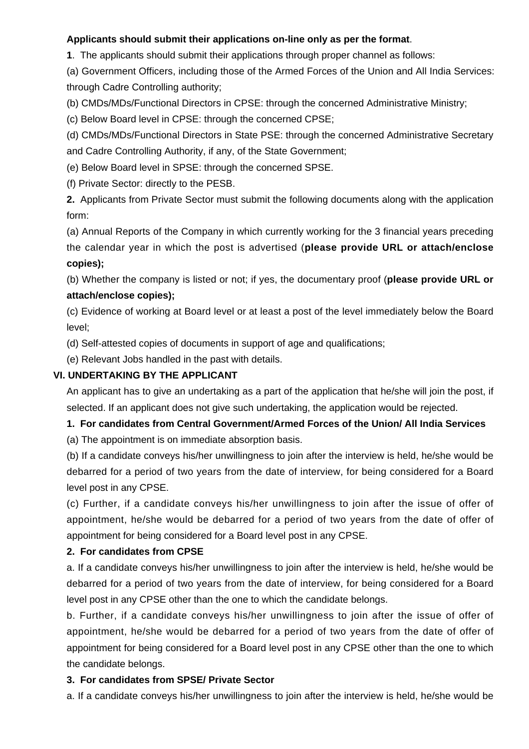## **Applicants should submit their applications on-line only as per the format**.

**1**. The applicants should submit their applications through proper channel as follows:

(a) Government Officers, including those of the Armed Forces of the Union and All India Services: through Cadre Controlling authority;

(b) CMDs/MDs/Functional Directors in CPSE: through the concerned Administrative Ministry;

(c) Below Board level in CPSE: through the concerned CPSE;

(d) CMDs/MDs/Functional Directors in State PSE: through the concerned Administrative Secretary and Cadre Controlling Authority, if any, of the State Government;

(e) Below Board level in SPSE: through the concerned SPSE.

(f) Private Sector: directly to the PESB.

**2.** Applicants from Private Sector must submit the following documents along with the application form:

(a) Annual Reports of the Company in which currently working for the 3 financial years preceding the calendar year in which the post is advertised (**please provide URL or attach/enclose copies);**

(b) Whether the company is listed or not; if yes, the documentary proof (**please provide URL or attach/enclose copies);**

(c) Evidence of working at Board level or at least a post of the level immediately below the Board level;

(d) Self-attested copies of documents in support of age and qualifications;

(e) Relevant Jobs handled in the past with details.

## **VI. UNDERTAKING BY THE APPLICANT**

An applicant has to give an undertaking as a part of the application that he/she will join the post, if selected. If an applicant does not give such undertaking, the application would be rejected.

## **1. For candidates from Central Government/Armed Forces of the Union/ All India Services**

(a) The appointment is on immediate absorption basis.

(b) If a candidate conveys his/her unwillingness to join after the interview is held, he/she would be debarred for a period of two years from the date of interview, for being considered for a Board level post in any CPSE.

(c) Further, if a candidate conveys his/her unwillingness to join after the issue of offer of appointment, he/she would be debarred for a period of two years from the date of offer of appointment for being considered for a Board level post in any CPSE.

## **2. For candidates from CPSE**

a. If a candidate conveys his/her unwillingness to join after the interview is held, he/she would be debarred for a period of two years from the date of interview, for being considered for a Board level post in any CPSE other than the one to which the candidate belongs.

b. Further, if a candidate conveys his/her unwillingness to join after the issue of offer of appointment, he/she would be debarred for a period of two years from the date of offer of appointment for being considered for a Board level post in any CPSE other than the one to which the candidate belongs.

## **3. For candidates from SPSE/ Private Sector**

a. If a candidate conveys his/her unwillingness to join after the interview is held, he/she would be